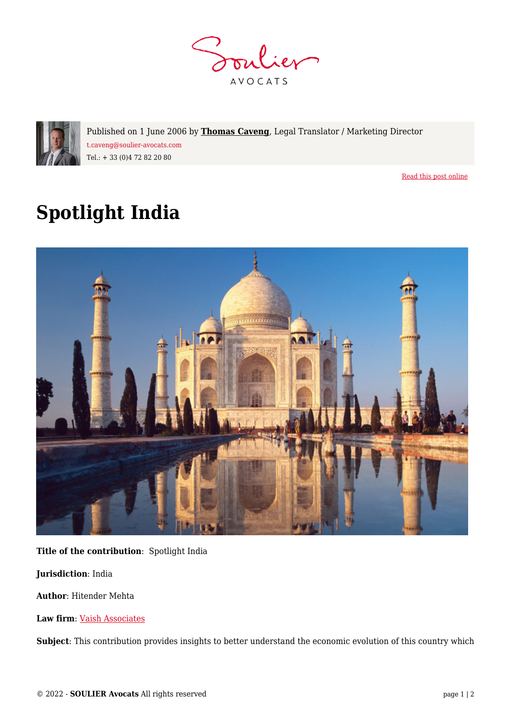



Published on 1 June 2006 by **[Thomas Caveng](https://www.soulier-avocats.com/en/equipe/thomas-caveng-en/)**, Legal Translator / Marketing Director t.caveng@soulier-avocats.com Tel.: + 33 (0)4 72 82 20 80

[Read this post online](https://www.soulier-avocats.com/en/spotlight-india/)

## **Spotlight India**



**Title of the contribution**: Spotlight India

**Jurisdiction**: India

**Author**: Hitender Mehta

**Law firm**: [Vaish Associates](http://www.vaishlaw.com/)

**Subject**: This contribution provides insights to better understand the economic evolution of this country which